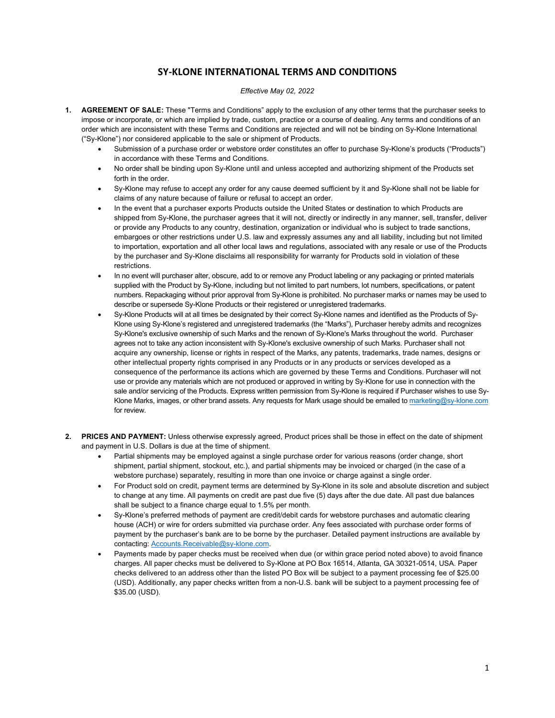## **SY‐KLONE INTERNATIONAL TERMS AND CONDITIONS**

## *Effective May 02, 2022*

- **1. AGREEMENT OF SALE:** These "Terms and Conditions" apply to the exclusion of any other terms that the purchaser seeks to impose or incorporate, or which are implied by trade, custom, practice or a course of dealing. Any terms and conditions of an order which are inconsistent with these Terms and Conditions are rejected and will not be binding on Sy-Klone International ("Sy-Klone") nor considered applicable to the sale or shipment of Products.
	- Submission of a purchase order or webstore order constitutes an offer to purchase Sy-Klone's products ("Products") in accordance with these Terms and Conditions.
	- No order shall be binding upon Sy-Klone until and unless accepted and authorizing shipment of the Products set forth in the order.
	- Sy-Klone may refuse to accept any order for any cause deemed sufficient by it and Sy-Klone shall not be liable for claims of any nature because of failure or refusal to accept an order.
	- In the event that a purchaser exports Products outside the United States or destination to which Products are shipped from Sy-Klone, the purchaser agrees that it will not, directly or indirectly in any manner, sell, transfer, deliver or provide any Products to any country, destination, organization or individual who is subject to trade sanctions, embargoes or other restrictions under U.S. law and expressly assumes any and all liability, including but not limited to importation, exportation and all other local laws and regulations, associated with any resale or use of the Products by the purchaser and Sy-Klone disclaims all responsibility for warranty for Products sold in violation of these restrictions.
	- In no event will purchaser alter, obscure, add to or remove any Product labeling or any packaging or printed materials supplied with the Product by Sy-Klone, including but not limited to part numbers, lot numbers, specifications, or patent numbers. Repackaging without prior approval from Sy-Klone is prohibited. No purchaser marks or names may be used to describe or supersede Sy-Klone Products or their registered or unregistered trademarks.
	- Sy-Klone Products will at all times be designated by their correct Sy-Klone names and identified as the Products of Sy-Klone using Sy-Klone's registered and unregistered trademarks (the "Marks"), Purchaser hereby admits and recognizes Sy-Klone's exclusive ownership of such Marks and the renown of Sy-Klone's Marks throughout the world. Purchaser agrees not to take any action inconsistent with Sy-Klone's exclusive ownership of such Marks. Purchaser shall not acquire any ownership, license or rights in respect of the Marks, any patents, trademarks, trade names, designs or other intellectual property rights comprised in any Products or in any products or services developed as a consequence of the performance its actions which are governed by these Terms and Conditions. Purchaser will not use or provide any materials which are not produced or approved in writing by Sy-Klone for use in connection with the sale and/or servicing of the Products. Express written permission from Sy-Klone is required if Purchaser wishes to use Sy-Klone Marks, images, or other brand assets. Any requests for Mark usage should be emailed to marketing@sy-klone.com for review.
- **2. PRICES AND PAYMENT:** Unless otherwise expressly agreed, Product prices shall be those in effect on the date of shipment and payment in U.S. Dollars is due at the time of shipment.
	- Partial shipments may be employed against a single purchase order for various reasons (order change, short shipment, partial shipment, stockout, etc.), and partial shipments may be invoiced or charged (in the case of a webstore purchase) separately, resulting in more than one invoice or charge against a single order.
	- For Product sold on credit, payment terms are determined by Sy-Klone in its sole and absolute discretion and subject to change at any time. All payments on credit are past due five (5) days after the due date. All past due balances shall be subject to a finance charge equal to 1.5% per month.
	- Sy-Klone's preferred methods of payment are credit/debit cards for webstore purchases and automatic clearing house (ACH) or wire for orders submitted via purchase order. Any fees associated with purchase order forms of payment by the purchaser's bank are to be borne by the purchaser. Detailed payment instructions are available by contacting: Accounts.Receivable@sy-klone.com.
	- Payments made by paper checks must be received when due (or within grace period noted above) to avoid finance charges. All paper checks must be delivered to Sy-Klone at PO Box 16514, Atlanta, GA 30321-0514, USA. Paper checks delivered to an address other than the listed PO Box will be subject to a payment processing fee of \$25.00 (USD). Additionally, any paper checks written from a non-U.S. bank will be subject to a payment processing fee of \$35.00 (USD).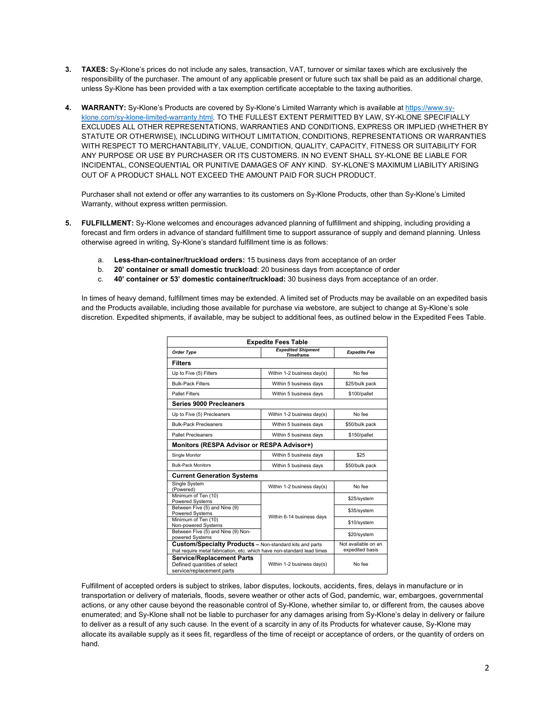- **3. TAXES:** Sy-Klone's prices do not include any sales, transaction, VAT, turnover or similar taxes which are exclusively the responsibility of the purchaser. The amount of any applicable present or future such tax shall be paid as an additional charge, unless Sy-Klone has been provided with a tax exemption certificate acceptable to the taxing authorities.
- **4. WARRANTY:** Sy-Klone's Products are covered by Sy-Klone's Limited Warranty which is available at https://www.syklone.com/sy-klone-limited-warranty.html. TO THE FULLEST EXTENT PERMITTED BY LAW, SY-KLONE SPECIFIALLY EXCLUDES ALL OTHER REPRESENTATIONS, WARRANTIES AND CONDITIONS, EXPRESS OR IMPLIED (WHETHER BY STATUTE OR OTHERWISE), INCLUDING WITHOUT LIMITATION, CONDITIONS, REPRESENTATIONS OR WARRANTIES WITH RESPECT TO MERCHANTABILITY, VALUE, CONDITION, QUALITY, CAPACITY, FITNESS OR SUITABILITY FOR ANY PURPOSE OR USE BY PURCHASER OR ITS CUSTOMERS. IN NO EVENT SHALL SY-KLONE BE LIABLE FOR INCIDENTAL, CONSEQUENTIAL OR PUNITIVE DAMAGES OF ANY KIND. SY-KLONE'S MAXIMUM LIABILITY ARISING OUT OF A PRODUCT SHALL NOT EXCEED THE AMOUNT PAID FOR SUCH PRODUCT.

Purchaser shall not extend or offer any warranties to its customers on Sy-Klone Products, other than Sy-Klone's Limited Warranty, without express written permission.

- **5. FULFILLMENT:** Sy-Klone welcomes and encourages advanced planning of fulfillment and shipping, including providing a forecast and firm orders in advance of standard fulfillment time to support assurance of supply and demand planning. Unless otherwise agreed in writing, Sy-Klone's standard fulfillment time is as follows:
	- a. **Less-than-container/truckload orders:** 15 business days from acceptance of an order
	- b. **20' container or small domestic truckload**: 20 business days from acceptance of order
	- c. **40' container or 53' domestic container/truckload:** 30 business days from acceptance of an order.

In times of heavy demand, fulfillment times may be extended. A limited set of Products may be available on an expedited basis and the Products available, including those available for purchase via webstore, are subject to change at Sy-Klone's sole discretion. Expedited shipments, if available, may be subject to additional fees, as outlined below in the Expedited Fees Table.

| <b>Expedite Fees Table</b>                                                                                                                |                                               |                                        |  |
|-------------------------------------------------------------------------------------------------------------------------------------------|-----------------------------------------------|----------------------------------------|--|
| <b>Order Type</b>                                                                                                                         | <b>Expedited Shipment</b><br><b>Timeframe</b> | <b>Expedite Fee</b>                    |  |
| <b>Filters</b>                                                                                                                            |                                               |                                        |  |
| Up to Five (5) Filters                                                                                                                    | Within 1-2 business day(s)                    | No fee                                 |  |
| <b>Bulk-Pack Filters</b>                                                                                                                  | Within 5 business days                        | \$25/bulk pack                         |  |
| <b>Pallet Filters</b>                                                                                                                     | Within 5 business days                        | \$100/pallet                           |  |
| Series 9000 Precleaners                                                                                                                   |                                               |                                        |  |
| Up to Five (5) Precleaners                                                                                                                | Within 1-2 business day(s)                    | No fee                                 |  |
| <b>Bulk-Pack Precleaners</b>                                                                                                              | Within 5 business days                        | \$50/bulk pack                         |  |
| <b>Pallet Precleaners</b>                                                                                                                 | Within 5 business days                        | \$150/pallet                           |  |
| Monitors (RESPA Advisor or RESPA Advisor+)                                                                                                |                                               |                                        |  |
| Single Monitor                                                                                                                            | Within 5 business days                        | \$25                                   |  |
| <b>Bulk-Pack Monitors</b>                                                                                                                 | Within 5 business days                        | \$50/bulk pack                         |  |
| <b>Current Generation Systems</b>                                                                                                         |                                               |                                        |  |
| Single System<br>(Powered)                                                                                                                | Within 1-2 business day(s)                    | No fee                                 |  |
| Minimum of Ten (10)<br><b>Powered Systems</b>                                                                                             | Within 6-14 business days                     | \$25/system                            |  |
| Between Five (5) and Nine (9)<br><b>Powered Systems</b>                                                                                   |                                               | \$35/system                            |  |
| Minimum of Ten (10)<br>Non-powered Systems                                                                                                |                                               | \$10/system                            |  |
| Between Five (5) and Nine (9) Non-<br>powered Systems                                                                                     |                                               | \$20/system                            |  |
| <b>Custom/Specialty Products - Non-standard kits and parts</b><br>that require metal fabrication, etc. which have non-standard lead times |                                               | Not available on an<br>expedited basis |  |
| <b>Service/Replacement Parts</b><br>Defined quantities of select<br>service/replacement parts                                             | Within 1-2 business day(s)                    | No fee                                 |  |

Fulfillment of accepted orders is subject to strikes, labor disputes, lockouts, accidents, fires, delays in manufacture or in transportation or delivery of materials, floods, severe weather or other acts of God, pandemic, war, embargoes, governmental actions, or any other cause beyond the reasonable control of Sy-Klone, whether similar to, or different from, the causes above enumerated; and Sy-Klone shall not be liable to purchaser for any damages arising from Sy-Klone's delay in delivery or failure to deliver as a result of any such cause. In the event of a scarcity in any of its Products for whatever cause, Sy-Klone may allocate its available supply as it sees fit, regardless of the time of receipt or acceptance of orders, or the quantity of orders on hand.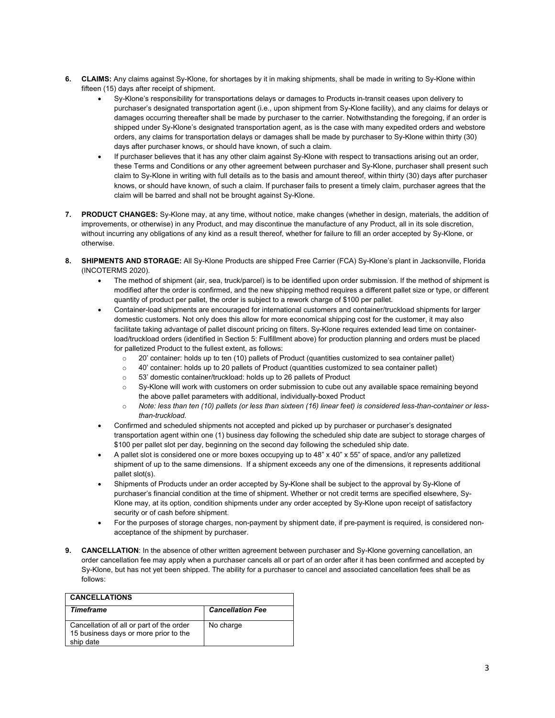- **6. CLAIMS:** Any claims against Sy-Klone, for shortages by it in making shipments, shall be made in writing to Sy-Klone within fifteen (15) days after receipt of shipment.
	- Sy-Klone's responsibility for transportations delays or damages to Products in-transit ceases upon delivery to purchaser's designated transportation agent (i.e., upon shipment from Sy-Klone facility), and any claims for delays or damages occurring thereafter shall be made by purchaser to the carrier. Notwithstanding the foregoing, if an order is shipped under Sy-Klone's designated transportation agent, as is the case with many expedited orders and webstore orders, any claims for transportation delays or damages shall be made by purchaser to Sy-Klone within thirty (30) days after purchaser knows, or should have known, of such a claim.
	- If purchaser believes that it has any other claim against Sy-Klone with respect to transactions arising out an order, these Terms and Conditions or any other agreement between purchaser and Sy-Klone, purchaser shall present such claim to Sy-Klone in writing with full details as to the basis and amount thereof, within thirty (30) days after purchaser knows, or should have known, of such a claim. If purchaser fails to present a timely claim, purchaser agrees that the claim will be barred and shall not be brought against Sy-Klone.
- **7. PRODUCT CHANGES:** Sy-Klone may, at any time, without notice, make changes (whether in design, materials, the addition of improvements, or otherwise) in any Product, and may discontinue the manufacture of any Product, all in its sole discretion, without incurring any obligations of any kind as a result thereof, whether for failure to fill an order accepted by Sy-Klone, or otherwise.
- **8. SHIPMENTS AND STORAGE:** All Sy-Klone Products are shipped Free Carrier (FCA) Sy-Klone's plant in Jacksonville, Florida (INCOTERMS 2020).
	- The method of shipment (air, sea, truck/parcel) is to be identified upon order submission. If the method of shipment is modified after the order is confirmed, and the new shipping method requires a different pallet size or type, or different quantity of product per pallet, the order is subject to a rework charge of \$100 per pallet.
	- Container-load shipments are encouraged for international customers and container/truckload shipments for larger domestic customers. Not only does this allow for more economical shipping cost for the customer, it may also facilitate taking advantage of pallet discount pricing on filters. Sy-Klone requires extended lead time on containerload/truckload orders (identified in Section 5: Fulfillment above) for production planning and orders must be placed for palletized Product to the fullest extent, as follows:
		- o 20' container: holds up to ten (10) pallets of Product (quantities customized to sea container pallet)
		- $\circ$  40' container: holds up to 20 pallets of Product (quantities customized to sea container pallet)
		- o 53' domestic container/truckload: holds up to 26 pallets of Product
		- $\circ$  Sy-Klone will work with customers on order submission to cube out any available space remaining beyond the above pallet parameters with additional, individually-boxed Product
		- o *Note: less than ten (10) pallets (or less than sixteen (16) linear feet) is considered less-than-container or lessthan-truckload.*
	- Confirmed and scheduled shipments not accepted and picked up by purchaser or purchaser's designated transportation agent within one (1) business day following the scheduled ship date are subject to storage charges of \$100 per pallet slot per day, beginning on the second day following the scheduled ship date.
	- A pallet slot is considered one or more boxes occupying up to 48" x 40" x 55" of space, and/or any palletized shipment of up to the same dimensions. If a shipment exceeds any one of the dimensions, it represents additional pallet slot(s).
	- Shipments of Products under an order accepted by Sy-Klone shall be subject to the approval by Sy-Klone of purchaser's financial condition at the time of shipment. Whether or not credit terms are specified elsewhere, Sy-Klone may, at its option, condition shipments under any order accepted by Sy-Klone upon receipt of satisfactory security or of cash before shipment.
	- For the purposes of storage charges, non-payment by shipment date, if pre-payment is required, is considered nonacceptance of the shipment by purchaser.
- **9. CANCELLATION**: In the absence of other written agreement between purchaser and Sy-Klone governing cancellation, an order cancellation fee may apply when a purchaser cancels all or part of an order after it has been confirmed and accepted by Sy-Klone, but has not yet been shipped. The ability for a purchaser to cancel and associated cancellation fees shall be as follows:

| <b>CANCELLATIONS</b>                                                                           |                         |  |  |
|------------------------------------------------------------------------------------------------|-------------------------|--|--|
| <b>Timeframe</b>                                                                               | <b>Cancellation Fee</b> |  |  |
| Cancellation of all or part of the order<br>15 business days or more prior to the<br>ship date | No charge               |  |  |